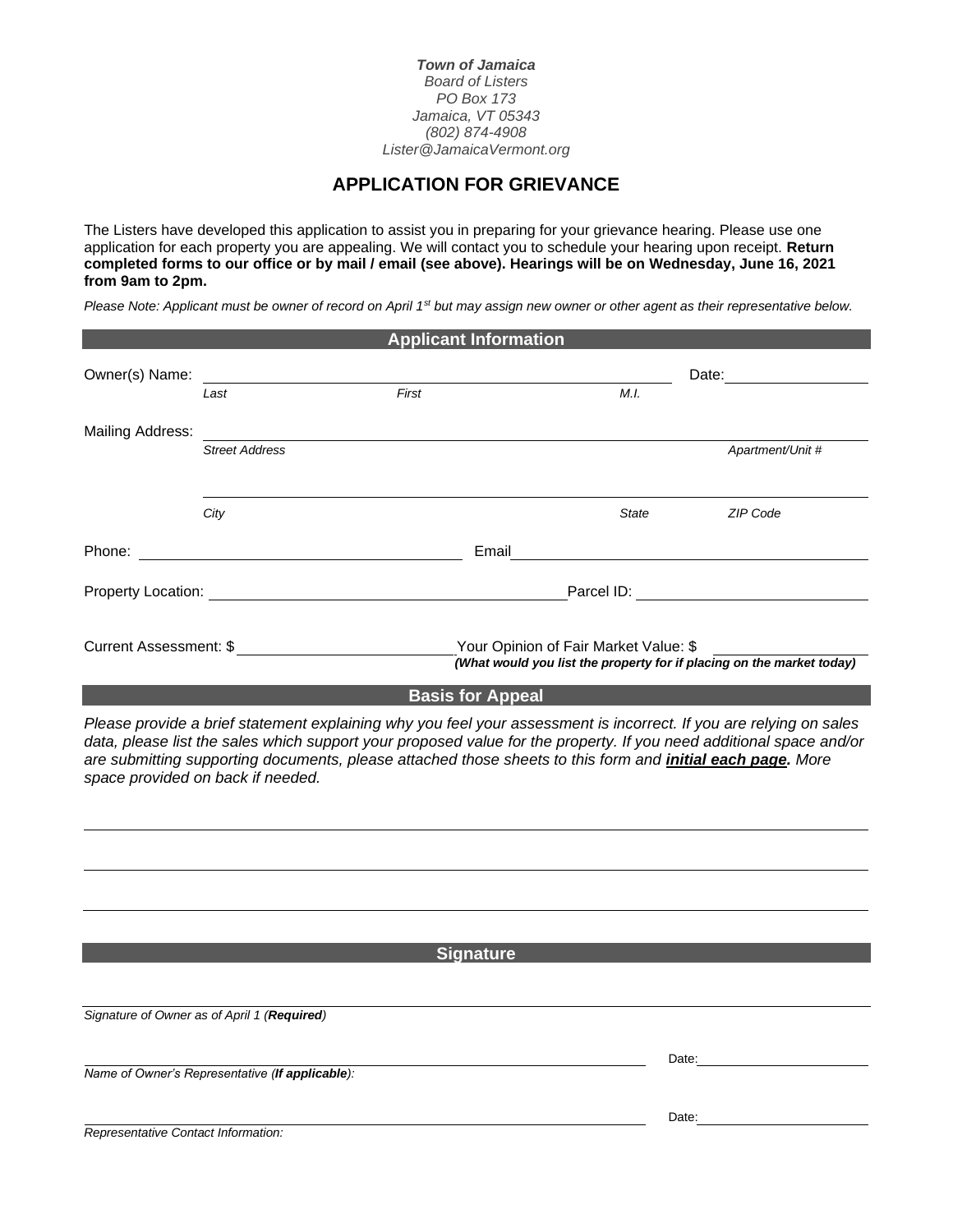*Town of Jamaica Board of Listers PO Box 173 Jamaica, VT 05343 (802) 874-4908 Lister@JamaicaVermont.org*

## **APPLICATION FOR GRIEVANCE**

The Listers have developed this application to assist you in preparing for your grievance hearing. Please use one application for each property you are appealing. We will contact you to schedule your hearing upon receipt. **Return completed forms to our office or by mail / email (see above). Hearings will be on Wednesday, June 16, 2021 from 9am to 2pm.**

*Please Note: Applicant must be owner of record on April 1st but may assign new owner or other agent as their representative below.*

| <b>Applicant Information</b>  |                       |                                |                                                                                                                |                  |  |
|-------------------------------|-----------------------|--------------------------------|----------------------------------------------------------------------------------------------------------------|------------------|--|
| Owner(s) Name:                | Last                  | First                          | M.I.                                                                                                           | Date:            |  |
| <b>Mailing Address:</b>       | <b>Street Address</b> |                                |                                                                                                                | Apartment/Unit # |  |
|                               | City                  |                                | <b>State</b>                                                                                                   | ZIP Code         |  |
| Phone:                        |                       | Email                          |                                                                                                                |                  |  |
| <b>Property Location:</b>     |                       | Parcel ID: <b>Example 2014</b> |                                                                                                                |                  |  |
| <b>Current Assessment: \$</b> |                       |                                | Your Opinion of Fair Market Value: \$<br>(What would you list the property for if placing on the market today) |                  |  |
|                               |                       | <b>Basis for Appeal</b>        |                                                                                                                |                  |  |

*Please provide a brief statement explaining why you feel your assessment is incorrect. If you are relying on sales data, please list the sales which support your proposed value for the property. If you need additional space and/or are submitting supporting documents, please attached those sheets to this form and initial each page. More space provided on back if needed.*

**Signature**

*Signature of Owner as of April 1 (Required)*

*Name of Owner's Representative (If applicable):*

Date:

*Representative Contact Information:*

Date: